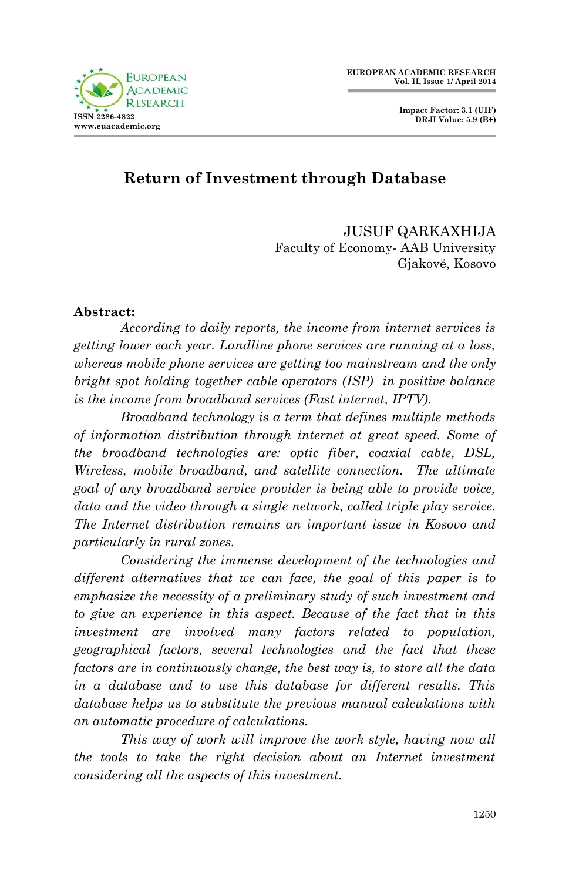

 **Impact Factor: 3.1 (UIF) DRJI Value: 5.9 (B+)**

# **Return of Investment through Database**

JUSUF QARKAXHIJA Faculty of Economy- AAB University Gjakovë, Kosovo

#### **Abstract:**

*According to daily reports, the income from internet services is getting lower each year. Landline phone services are running at a loss, whereas mobile phone services are getting too mainstream and the only bright spot holding together cable operators (ISP) in positive balance is the income from broadband services (Fast internet, IPTV).*

*Broadband technology is a term that defines multiple methods of information distribution through internet at great speed. Some of the broadband technologies are: optic fiber, coaxial cable, DSL, Wireless, mobile broadband, and satellite connection. The ultimate goal of any broadband service provider is being able to provide voice, data and the video through a single network, called triple play service. The Internet distribution remains an important issue in Kosovo and particularly in rural zones.*

*Considering the immense development of the technologies and different alternatives that we can face, the goal of this paper is to emphasize the necessity of a preliminary study of such investment and to give an experience in this aspect. Because of the fact that in this investment are involved many factors related to population, geographical factors, several technologies and the fact that these factors are in continuously change, the best way is, to store all the data in a database and to use this database for different results. This database helps us to substitute the previous manual calculations with an automatic procedure of calculations.* 

*This way of work will improve the work style, having now all the tools to take the right decision about an Internet investment considering all the aspects of this investment.*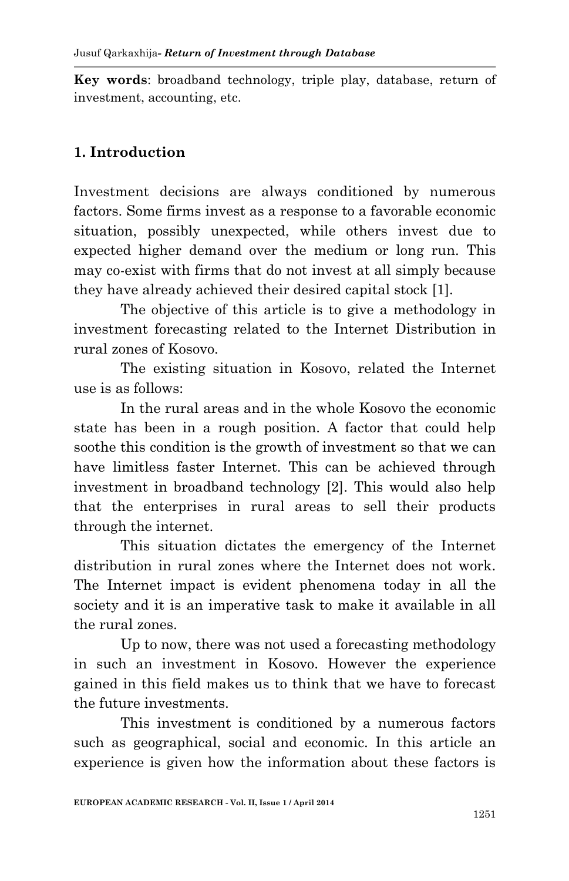**Key words**: broadband technology, triple play, database, return of investment, accounting, etc.

## **1. Introduction**

Investment decisions are always conditioned by numerous factors. Some firms invest as a response to a favorable economic situation, possibly unexpected, while others invest due to expected higher demand over the medium or long run. This may co-exist with firms that do not invest at all simply because they have already achieved their desired capital stock [1].

The objective of this article is to give a methodology in investment forecasting related to the Internet Distribution in rural zones of Kosovo.

The existing situation in Kosovo, related the Internet use is as follows:

In the rural areas and in the whole Kosovo the economic state has been in a rough position. A factor that could help soothe this condition is the growth of investment so that we can have limitless faster Internet. This can be achieved through investment in broadband technology [2]. This would also help that the enterprises in rural areas to sell their products through the internet.

This situation dictates the emergency of the Internet distribution in rural zones where the Internet does not work. The Internet impact is evident phenomena today in all the society and it is an imperative task to make it available in all the rural zones.

Up to now, there was not used a forecasting methodology in such an investment in Kosovo. However the experience gained in this field makes us to think that we have to forecast the future investments.

This investment is conditioned by a numerous factors such as geographical, social and economic. In this article an experience is given how the information about these factors is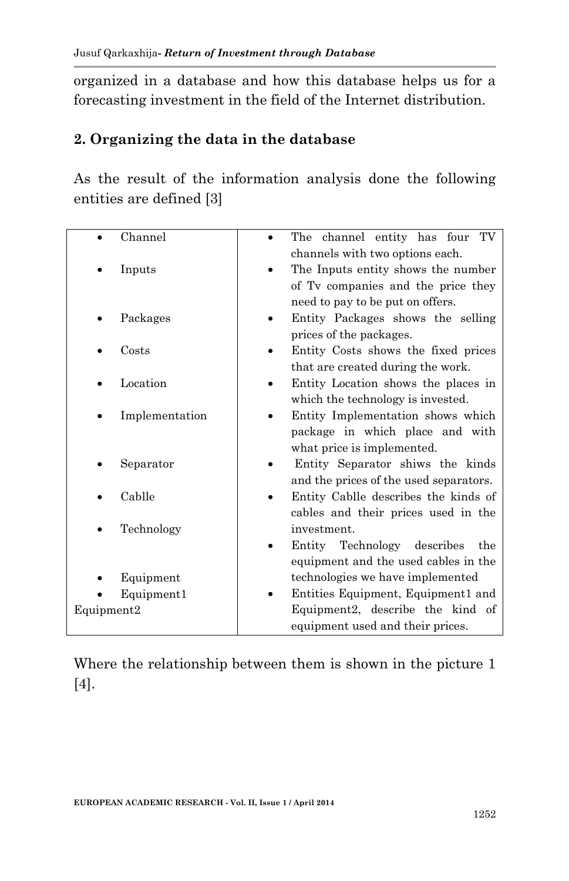organized in a database and how this database helps us for a forecasting investment in the field of the Internet distribution.

#### **2. Organizing the data in the database**

As the result of the information analysis done the following entities are defined [3]

| Channel        | The channel entity has four TV         |
|----------------|----------------------------------------|
|                | channels with two options each.        |
| Inputs         | The Inputs entity shows the number     |
|                | of Tv companies and the price they     |
|                | need to pay to be put on offers.       |
| Packages       | Entity Packages shows the selling      |
|                | prices of the packages.                |
| Costs          | Entity Costs shows the fixed prices    |
|                | that are created during the work.      |
| Location       | Entity Location shows the places in    |
|                | which the technology is invested.      |
| Implementation | Entity Implementation shows which      |
|                | package in which place and with        |
|                | what price is implemented.             |
| Separator      | Entity Separator shiws the kinds       |
|                | and the prices of the used separators. |
| Cablle         | Entity Cablle describes the kinds of   |
|                | cables and their prices used in the    |
| Technology     | investment.                            |
|                | Entity Technology<br>describes<br>the  |
|                | equipment and the used cables in the   |
| Equipment      | technologies we have implemented       |
| Equipment1     | Entities Equipment, Equipment1 and     |
| Equipment2     | Equipment2, describe the kind of       |
|                | equipment used and their prices.       |

Where the relationship between them is shown in the picture 1 [4].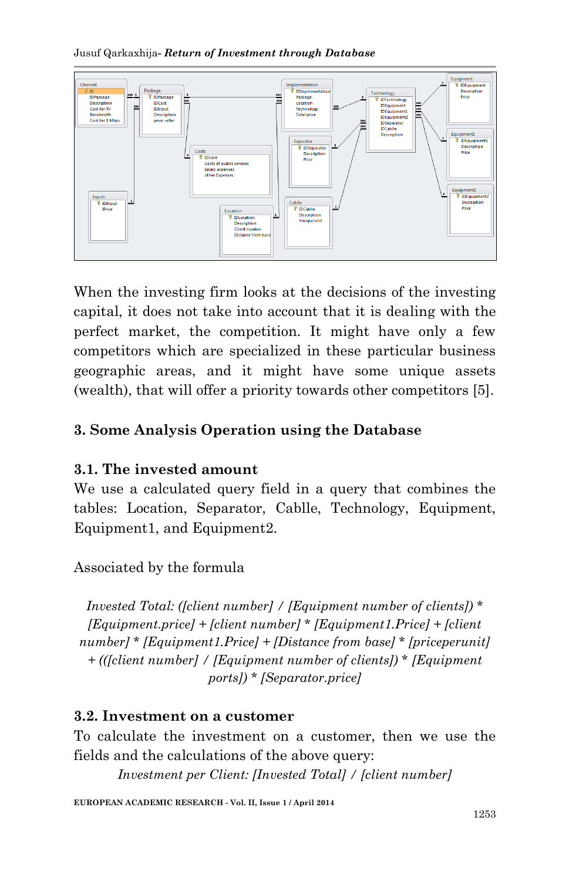Jusuf Qarkaxhija*- Return of Investment through Database*



When the investing firm looks at the decisions of the investing capital, it does not take into account that it is dealing with the perfect market, the competition. It might have only a few competitors which are specialized in these particular business geographic areas, and it might have some unique assets (wealth), that will offer a priority towards other competitors [5].

# **3. Some Analysis Operation using the Database**

## **3.1. The invested amount**

We use a calculated query field in a query that combines the tables: Location, Separator, Cablle, Technology, Equipment, Equipment1, and Equipment2.

Associated by the formula

*Invested Total: ([client number] / [Equipment number of clients]) \* [Equipment.price] + [client number] \* [Equipment1.Price] + [client number] \* [Equipment1.Price] + [Distance from base] \* [priceperunit] + (([client number] / [Equipment number of clients]) \* [Equipment ports]) \* [Separator.price]*

#### **3.2. Investment on a customer**

To calculate the investment on a customer, then we use the fields and the calculations of the above query:

*Investment per Client: [Invested Total] / [client number]*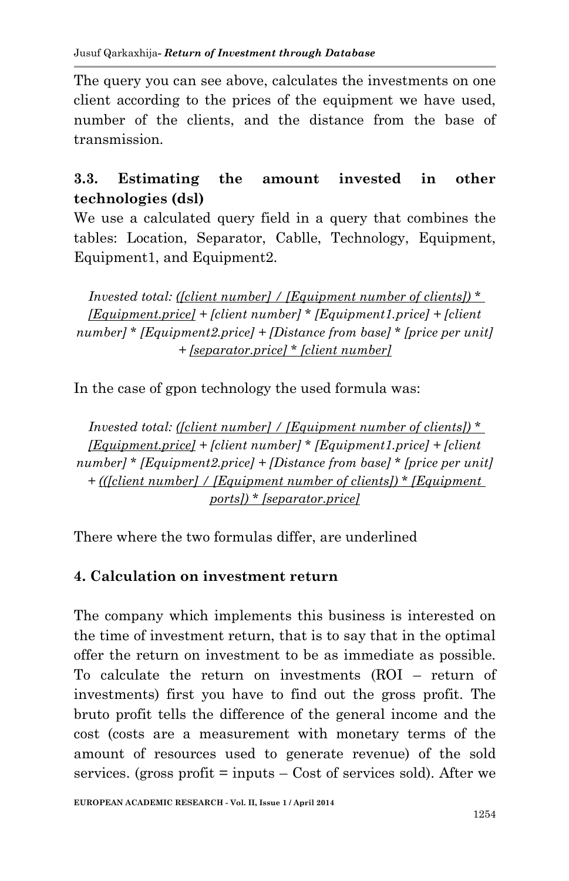The query you can see above, calculates the investments on one client according to the prices of the equipment we have used, number of the clients, and the distance from the base of transmission.

# **3.3. Estimating the amount invested in other technologies (dsl)**

We use a calculated query field in a query that combines the tables: Location, Separator, Cablle, Technology, Equipment, Equipment1, and Equipment2.

*Invested total: ([client number] / [Equipment number of clients]) \* [Equipment.price] + [client number] \* [Equipment1.price] + [client number] \* [Equipment2.price] + [Distance from base] \* [price per unit] + [separator.price] \* [client number]*

In the case of gpon technology the used formula was:

*Invested total: ([client number] / [Equipment number of clients]) \* [Equipment.price] + [client number] \* [Equipment1.price] + [client number] \* [Equipment2.price] + [Distance from base] \* [price per unit] + (([client number] / [Equipment number of clients]) \* [Equipment ports]) \* [separator.price]*

There where the two formulas differ, are underlined

## **4. Calculation on investment return**

The company which implements this business is interested on the time of investment return, that is to say that in the optimal offer the return on investment to be as immediate as possible. To calculate the return on investments (ROI – return of investments) first you have to find out the gross profit. The bruto profit tells the difference of the general income and the cost (costs are a measurement with monetary terms of the amount of resources used to generate revenue) of the sold services. (gross profit  $=$  inputs  $-$  Cost of services sold). After we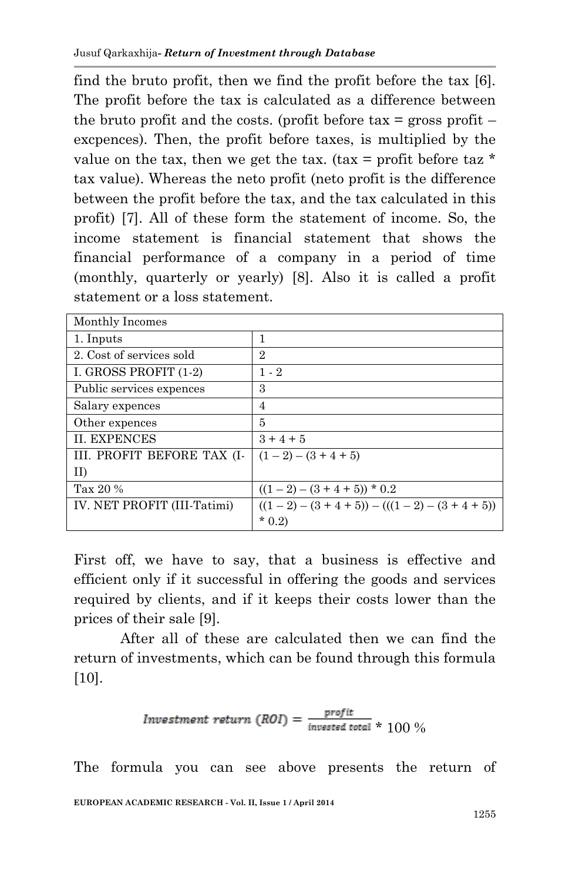find the bruto profit, then we find the profit before the tax [6]. The profit before the tax is calculated as a difference between the bruto profit and the costs. (profit before  $\text{tax} = \text{gross profit}$ excpences). Then, the profit before taxes, is multiplied by the value on the tax, then we get the tax. (tax = profit before taz  $*$ tax value). Whereas the neto profit (neto profit is the difference between the profit before the tax, and the tax calculated in this profit) [7]. All of these form the statement of income. So, the income statement is financial statement that shows the financial performance of a company in a period of time (monthly, quarterly or yearly) [8]. Also it is called a profit statement or a loss statement.

| Monthly Incomes             |                                     |
|-----------------------------|-------------------------------------|
| 1. Inputs                   | 1                                   |
| 2. Cost of services sold    | 2                                   |
| I. GROSS PROFIT (1-2)       | $1 - 2$                             |
| Public services expences    | 3                                   |
| Salary expences             | 4                                   |
| Other expences              | 5                                   |
| <b>II. EXPENCES</b>         | $3 + 4 + 5$                         |
| III. PROFIT BEFORE TAX (I-  | $(1-2) - (3+4+5)$                   |
| $\rm{II}$                   |                                     |
| Tax 20 %                    | $((1-2)-(3+4+5))$ * 0.2             |
| IV. NET PROFIT (III-Tatimi) | $((1-2)-(3+4+5)) - ((1-2)-(3+4+5))$ |
|                             | $*$ 0.2)                            |

First off, we have to say, that a business is effective and efficient only if it successful in offering the goods and services required by clients, and if it keeps their costs lower than the prices of their sale [9].

After all of these are calculated then we can find the return of investments, which can be found through this formula [10].

Investment return 
$$
(ROI) = \frac{profit}{invested total} \times 100\%
$$

The formula you can see above presents the return of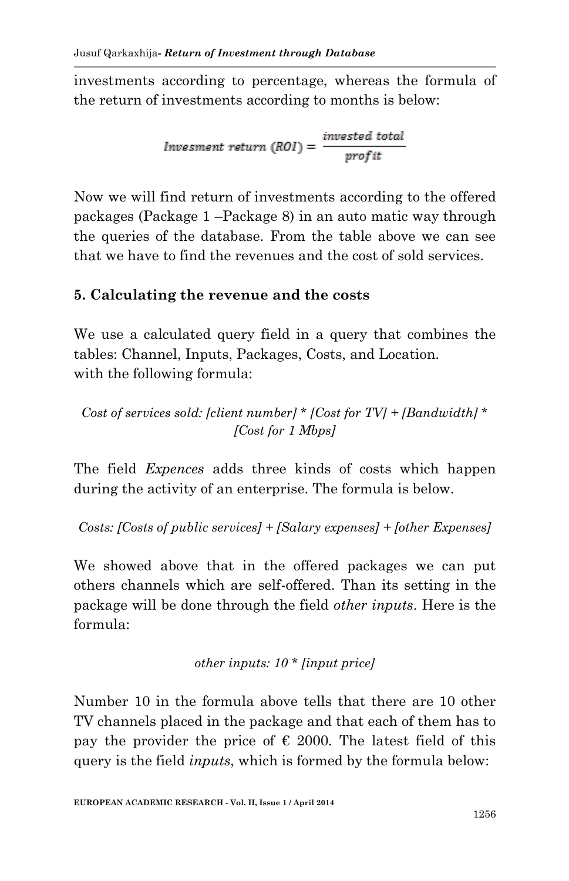investments according to percentage, whereas the formula of the return of investments according to months is below:

$$
Invested\ total\ \, [Root] = \frac{invested\ total}{profit}
$$

Now we will find return of investments according to the offered packages (Package 1 –Package 8) in an auto matic way through the queries of the database. From the table above we can see that we have to find the revenues and the cost of sold services.

## **5. Calculating the revenue and the costs**

We use a calculated query field in a query that combines the tables: Channel, Inputs, Packages, Costs, and Location. with the following formula:

*Cost of services sold: [client number] \* [Cost for TV] + [Bandwidth] \* [Cost for 1 Mbps]*

The field *Expences* adds three kinds of costs which happen during the activity of an enterprise. The formula is below.

*Costs: [Costs of public services] + [Salary expenses] + [other Expenses]*

We showed above that in the offered packages we can put others channels which are self-offered. Than its setting in the package will be done through the field *other inputs*. Here is the formula:

*other inputs: 10 \* [input price]*

Number 10 in the formula above tells that there are 10 other TV channels placed in the package and that each of them has to pay the provider the price of  $\epsilon$  2000. The latest field of this query is the field *inputs*, which is formed by the formula below: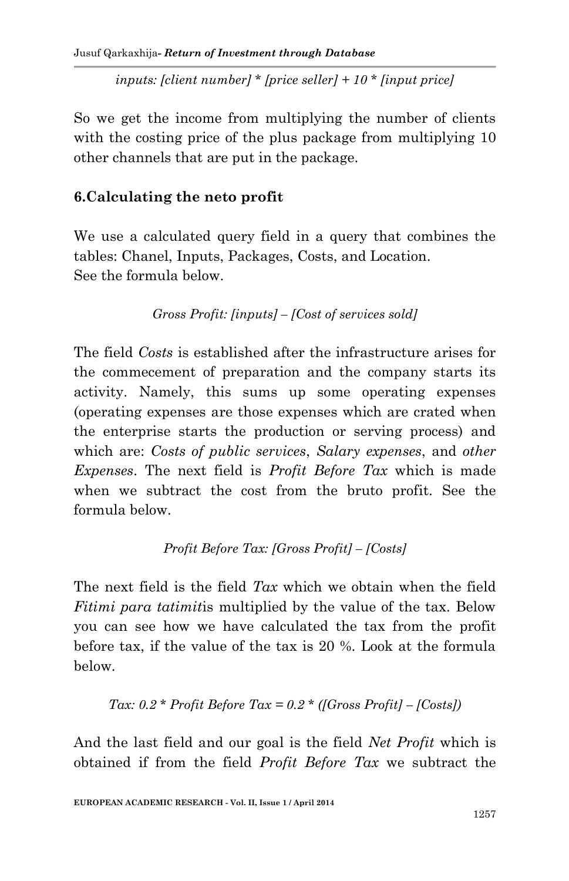*inputs: [client number] \* [price seller] + 10 \* [input price]*

So we get the income from multiplying the number of clients with the costing price of the plus package from multiplying 10 other channels that are put in the package.

#### **6.Calculating the neto profit**

We use a calculated query field in a query that combines the tables: Chanel, Inputs, Packages, Costs, and Location. See the formula below.

```
Gross Profit: [inputs] – [Cost of services sold]
```
The field *Costs* is established after the infrastructure arises for the commecement of preparation and the company starts its activity. Namely, this sums up some operating expenses (operating expenses are those expenses which are crated when the enterprise starts the production or serving process) and which are: *Costs of public services*, *Salary expenses*, and *other Expenses*. The next field is *Profit Before Tax* which is made when we subtract the cost from the bruto profit. See the formula below.

*Profit Before Tax: [Gross Profit] – [Costs]*

The next field is the field *Tax* which we obtain when the field *Fitimi para tatimit*is multiplied by the value of the tax. Below you can see how we have calculated the tax from the profit before tax, if the value of the tax is 20 %. Look at the formula below.

#### *Tax: 0.2 \* Profit Before Tax = 0.2 \* ([Gross Profit] – [Costs])*

And the last field and our goal is the field *Net Profit* which is obtained if from the field *Profit Before Tax* we subtract the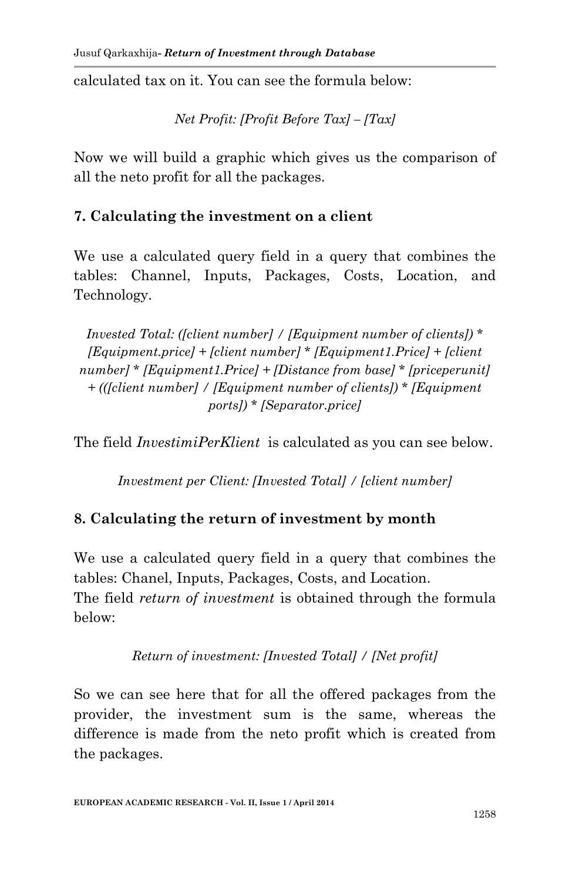calculated tax on it. You can see the formula below:

*Net Profit: [Profit Before Tax] – [Tax]*

Now we will build a graphic which gives us the comparison of all the neto profit for all the packages.

#### **7. Calculating the investment on a client**

We use a calculated query field in a query that combines the tables: Channel, Inputs, Packages, Costs, Location, and Technology.

*Invested Total: ([client number] / [Equipment number of clients]) \* [Equipment.price] + [client number] \* [Equipment1.Price] + [client number] \* [Equipment1.Price] + [Distance from base] \* [priceperunit] + (([client number] / [Equipment number of clients]) \* [Equipment ports]) \* [Separator.price]*

The field *InvestimiPerKlient* is calculated as you can see below.

*Investment per Client: [Invested Total] / [client number]*

## **8. Calculating the return of investment by month**

We use a calculated query field in a query that combines the tables: Chanel, Inputs, Packages, Costs, and Location. The field *return of investment* is obtained through the formula below:

*Return of investment: [Invested Total] / [Net profit]*

So we can see here that for all the offered packages from the provider, the investment sum is the same, whereas the difference is made from the neto profit which is created from the packages.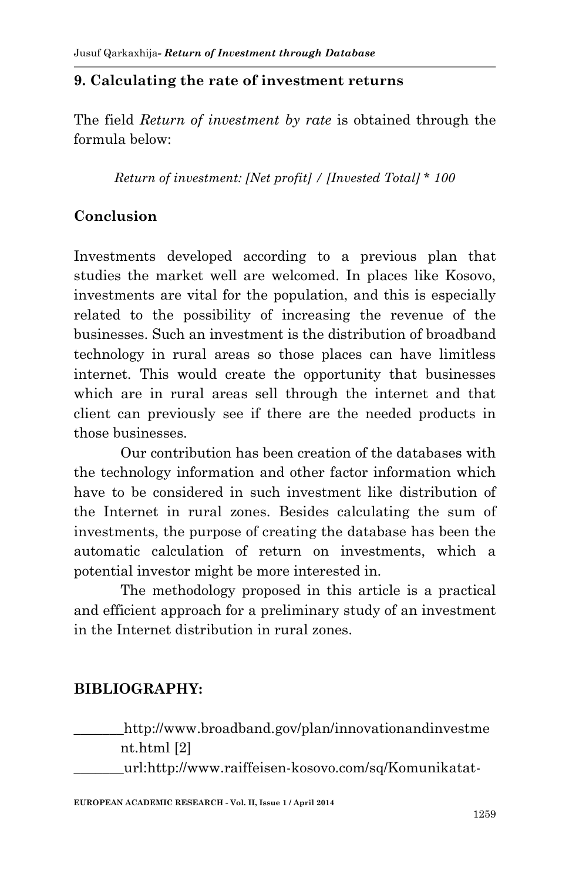#### **9. Calculating the rate of investment returns**

The field *Return of investment by rate* is obtained through the formula below:

*Return of investment: [Net profit] / [Invested Total] \* 100*

# **Conclusion**

Investments developed according to a previous plan that studies the market well are welcomed. In places like Kosovo, investments are vital for the population, and this is especially related to the possibility of increasing the revenue of the businesses. Such an investment is the distribution of broadband technology in rural areas so those places can have limitless internet. This would create the opportunity that businesses which are in rural areas sell through the internet and that client can previously see if there are the needed products in those businesses.

Our contribution has been creation of the databases with the technology information and other factor information which have to be considered in such investment like distribution of the Internet in rural zones. Besides calculating the sum of investments, the purpose of creating the database has been the automatic calculation of return on investments, which a potential investor might be more interested in.

The methodology proposed in this article is a practical and efficient approach for a preliminary study of an investment in the Internet distribution in rural zones.

## **BIBLIOGRAPHY:**

http://www.broadband.gov/plan/innovationandinvestme nt.html [2]

\_\_\_\_\_\_\_url:http://www.raiffeisen-kosovo.com/sq/Komunikatat-